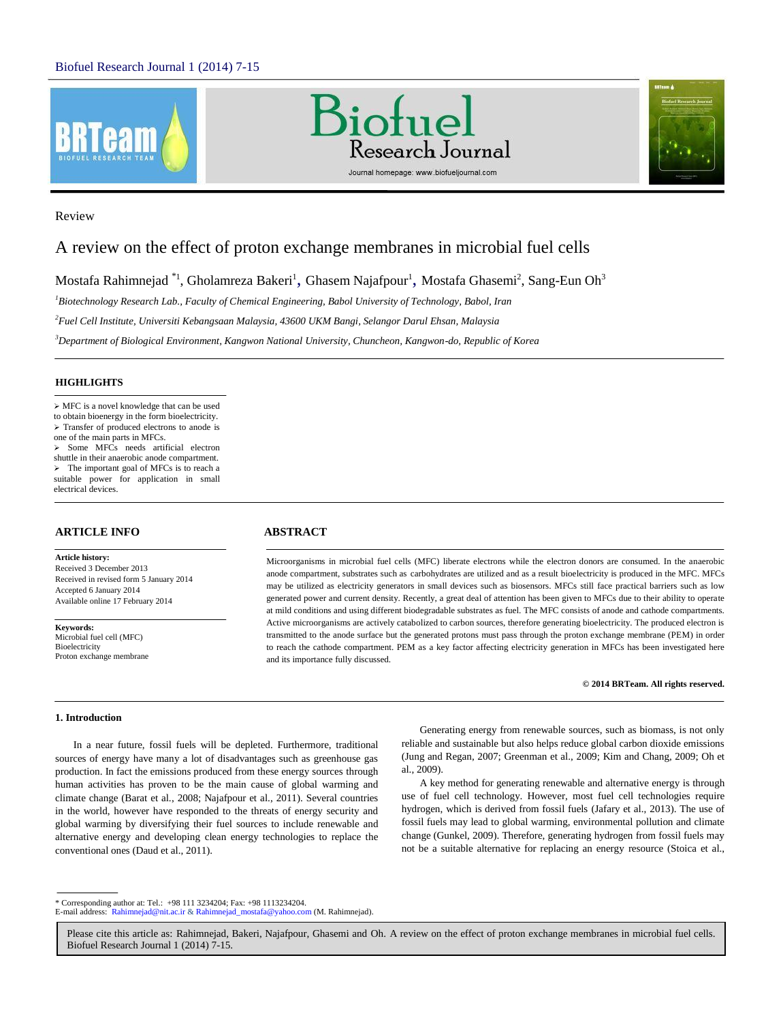





# Review

# A review on the effect of proton exchange membranes in microbial fuel cells

Mostafa Rahimnejad  $^{\ast_{1}}$ , Gholamreza Bakeri $^{1}$ , Ghasem Najafpour $^{1}$ , Mostafa Ghasemi $^{2}$ , Sang-Eun Oh $^{3}$ 

*<sup>1</sup>Biotechnology Research Lab., Faculty of Chemical Engineering, Babol University of Technology, Babol, Iran*

*<sup>2</sup>Fuel Cell Institute, Universiti Kebangsaan Malaysia, 43600 UKM Bangi, Selangor Darul Ehsan, Malaysia*

*<sup>3</sup>Department of Biological Environment, Kangwon National University, Chuncheon, Kangwon-do, Republic of Korea*

# **HIGHLIGHTS**

 MFC is a novel knowledge that can be used to obtain bioenergy in the form bioelectricity. Transfer of produced electrons to anode is one of the main parts in MFCs.  $\triangleright$  Some MFCs needs artificial electron shuttle in their anaerobic anode compartment.  $\triangleright$  The important goal of MFCs is to reach a suitable power for application in small

# **ARTICLE INFO ABSTRACT**

electrical devices.

**Article history:** Received 3 December 2013 Received in revised form 5 January 2014 Accepted 6 January 2014 Available online 17 February 2014

**Keywords:** Microbial fuel cell (MFC) Bioelectricity Proton exchange membrane

Microorganisms in microbial fuel cells (MFC) liberate electrons while the electron donors are consumed. In the anaerobic anode compartment, substrates such as carbohydrates are utilized and as a result bioelectricity is produced in the MFC. MFCs may be utilized as electricity generators in small devices such as biosensors. MFCs still face practical barriers such as low generated power and current density. Recently, a great deal of attention has been given to MFCs due to their ability to operate at mild conditions and using different biodegradable substrates as fuel. The MFC consists of anode and cathode compartments. Active microorganisms are actively catabolized to carbon sources, therefore generating bioelectricity. The produced electron is transmitted to the anode surface but the generated protons must pass through the proton exchange membrane (PEM) in order to reach the cathode compartment. PEM as a key factor affecting electricity generation in MFCs has been investigated here and its importance fully discussed.

#### **© 2014 BRTeam. All rights reserved.**

# **1. Introduction**

In a near future, fossil fuels will be depleted. Furthermore, traditional sources of energy have many a lot of disadvantages such as greenhouse gas production. In fact the emissions produced from these energy sources through human activities has proven to be the main cause of global warming and climate change (Barat et al., 2008; Najafpour et al., 2011). Several countries in the world, however have responded to the threats of energy security and global warming by diversifying their fuel sources to include renewable and alternative energy and developing clean energy technologies to replace the conventional ones (Daud et al., 2011).

Generating energy from renewable sources, such as biomass, is not only reliable and sustainable but also helps reduce global carbon dioxide emissions (Jung and Regan, 2007; Greenman et al., 2009; Kim and Chang, 2009; Oh et al., 2009).

A key method for generating renewable and alternative energy is through use of fuel cell technology. However, most fuel cell technologies require hydrogen, which is derived from fossil fuels (Jafary et al., 2013). The use of fossil fuels may lead to global warming, environmental pollution and climate change (Gunkel, 2009). Therefore, generating hydrogen from fossil fuels may not be a suitable alternative for replacing an energy resource (Stoica et al.,

\* Corresponding author at: Tel.: +98 111 3234204; Fax: +98 1113234204.

E-mail address: Rahimnejad@nit.ac.ir & Rahimnejad\_mostafa@yahoo.com (M. Rahimnejad).

Please cite this article as: Rahimnejad, Bakeri, Najafpour, Ghasemi and Oh. A review on the effect of proton exchange membranes in microbial fuel cells. Biofuel Research Journal 1 (2014) 7-15.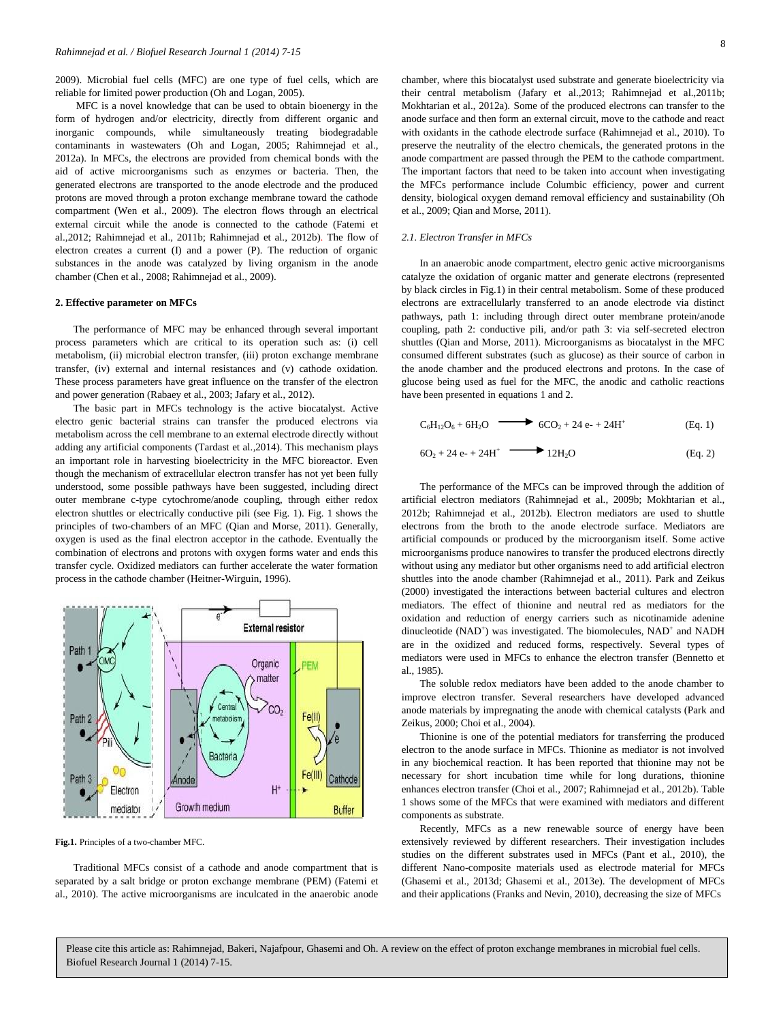2009). Microbial fuel cells (MFC) are one type of fuel cells, which are reliable for limited power production (Oh and Logan, 2005).

MFC is a novel knowledge that can be used to obtain bioenergy in the form of hydrogen and/or electricity, directly from different organic and inorganic compounds, while simultaneously treating biodegradable contaminants in wastewaters (Oh and Logan, 2005; Rahimnejad et al., 2012a). In MFCs, the electrons are provided from chemical bonds with the aid of active microorganisms such as enzymes or bacteria. Then, the generated electrons are transported to the anode electrode and the produced protons are moved through a proton exchange membrane toward the cathode compartment (Wen et al., 2009). The electron flows through an electrical external circuit while the anode is connected to the cathode (Fatemi et al.,2012; Rahimnejad et al., 2011b; Rahimnejad et al., 2012b). The flow of electron creates a current (I) and a power (P). The reduction of organic substances in the anode was catalyzed by living organism in the anode chamber (Chen et al., 2008; Rahimnejad et al., 2009).

#### **2. Effective parameter on MFCs**

The performance of MFC may be enhanced through several important process parameters which are critical to its operation such as: (i) cell metabolism, (ii) microbial electron transfer, (iii) proton exchange membrane transfer, (iv) external and internal resistances and (v) cathode oxidation. These process parameters have great influence on the transfer of the electron and power generation (Rabaey et al., 2003; Jafary et al., 2012).

The basic part in MFCs technology is the active biocatalyst. Active electro genic bacterial strains can transfer the produced electrons via metabolism across the cell membrane to an external electrode directly without adding any artificial components (Tardast et al.,2014). This mechanism plays an important role in harvesting bioelectricity in the MFC bioreactor. Even though the mechanism of extracellular electron transfer has not yet been fully understood, some possible pathways have been suggested, including direct outer membrane c-type cytochrome/anode coupling, through either redox electron shuttles or electrically conductive pili (see Fig. 1). Fig. 1 shows the principles of two-chambers of an MFC (Qian and Morse, 2011). Generally, oxygen is used as the final electron acceptor in the cathode. Eventually the combination of electrons and protons with oxygen forms water and ends this transfer cycle. Oxidized mediators can further accelerate the water formation process in the cathode chamber (Heitner-Wirguin, 1996).



**Fig.1.** Principles of a two-chamber MFC.

Traditional MFCs consist of a cathode and anode compartment that is separated by a salt bridge or proton exchange membrane (PEM) (Fatemi et al., 2010). The active microorganisms are inculcated in the anaerobic anode chamber, where this biocatalyst used substrate and generate bioelectricity via their central metabolism (Jafary et al.,2013; Rahimnejad et al.,2011b; Mokhtarian et al., 2012a). Some of the produced electrons can transfer to the anode surface and then form an external circuit, move to the cathode and react with oxidants in the cathode electrode surface (Rahimnejad et al., 2010). To preserve the neutrality of the electro chemicals, the generated protons in the anode compartment are passed through the PEM to the cathode compartment. The important factors that need to be taken into account when investigating the MFCs performance include Columbic efficiency, power and current density, biological oxygen demand removal efficiency and sustainability (Oh et al., 2009; Qian and Morse, 2011).

# *2.1. Electron Transfer in MFCs*

In an anaerobic anode compartment, electro genic active microorganisms catalyze the oxidation of organic matter and generate electrons (represented by black circles in Fig.1) in their central metabolism. Some of these produced electrons are extracellularly transferred to an anode electrode via distinct pathways, path 1: including through direct outer membrane protein/anode coupling, path 2: conductive pili, and/or path 3: via self-secreted electron shuttles (Qian and Morse, 2011). Microorganisms as biocatalyst in the MFC consumed different substrates (such as glucose) as their source of carbon in the anode chamber and the produced electrons and protons. In the case of glucose being used as fuel for the MFC, the anodic and catholic reactions have been presented in equations 1 and 2.

$$
C_6H_{12}O_6 + 6H_2O \longrightarrow 6CO_2 + 24e + 24H^+ \qquad (Eq. 1)
$$

$$
6O2 + 24 e1 + 24H+ \longrightarrow 12H2O \t\t (Eq. 2)
$$

The performance of the MFCs can be improved through the addition of artificial electron mediators (Rahimnejad et al., 2009b; Mokhtarian et al., 2012b; Rahimnejad et al., 2012b). Electron mediators are used to shuttle electrons from the broth to the anode electrode surface. Mediators are artificial compounds or produced by the microorganism itself. Some active microorganisms produce nanowires to transfer the produced electrons directly without using any mediator but other organisms need to add artificial electron shuttles into the anode chamber (Rahimnejad et al., 2011). Park and Zeikus (2000) investigated the interactions between bacterial cultures and electron mediators. The effect of thionine and neutral red as mediators for the oxidation and reduction of energy carriers such as nicotinamide adenine dinucleotide (NAD<sup>+</sup>) was investigated. The biomolecules, NAD<sup>+</sup> and NADH are in the oxidized and reduced forms, respectively. Several types of mediators were used in MFCs to enhance the electron transfer (Bennetto et al., 1985).

The soluble redox mediators have been added to the anode chamber to improve electron transfer. Several researchers have developed advanced anode materials by impregnating the anode with chemical catalysts (Park and Zeikus, 2000; Choi et al., 2004).

Thionine is one of the potential mediators for transferring the produced electron to the anode surface in MFCs. Thionine as mediator is not involved in any biochemical reaction. It has been reported that thionine may not be necessary for short incubation time while for long durations, thionine enhances electron transfer (Choi et al., 2007; Rahimnejad et al., 2012b). Table 1 shows some of the MFCs that were examined with mediators and different components as substrate.

Recently, MFCs as a new renewable source of energy have been extensively reviewed by different researchers. Their investigation includes studies on the different substrates used in MFCs (Pant et al., 2010), the different Nano-composite materials used as electrode material for MFCs (Ghasemi et al., 2013d; Ghasemi et al., 2013e). The development of MFCs and their applications (Franks and Nevin, 2010), decreasing the size of MFCs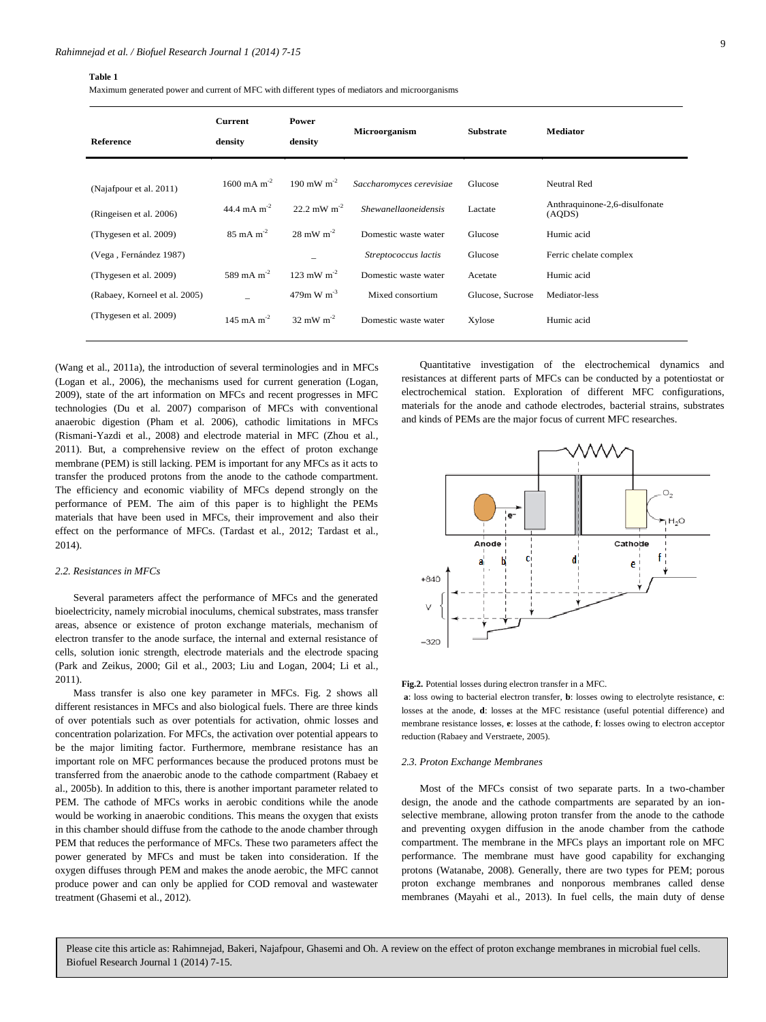#### **Table 1**

Maximum generated power and current of MFC with different types of mediators and microorganisms

| Reference                     | <b>Current</b><br>density | Power<br>density       | <b>Microorganism</b>     | <b>Substrate</b> | <b>Mediator</b>                         |
|-------------------------------|---------------------------|------------------------|--------------------------|------------------|-----------------------------------------|
| (Najafpour et al. 2011)       | $1600 \text{ mA m}^{-2}$  | 190 mW $m^2$           | Saccharomyces cerevisiae | Glucose          | Neutral Red                             |
| (Ringeisen et al. 2006)       | 44.4 mA $m^{-2}$          | 22.2 mW $m^{-2}$       | Shewanellaoneidensis     | Lactate          | Anthraquinone-2,6-disulfonate<br>(AQDS) |
| (Thygesen et al. 2009)        | $85 \text{ mA m}^{-2}$    | $28 \text{ mW m}^{-2}$ | Domestic waste water     | Glucose          | Humic acid                              |
| (Vega, Fernández 1987)        |                           |                        | Streptococcus lactis     | Glucose          | Ferric chelate complex                  |
| (Thygesen et al. 2009)        | 589 mA m <sup>-2</sup>    | 123 mW $m^{-2}$        | Domestic waste water     | Acetate          | Humic acid                              |
| (Rabaey, Korneel et al. 2005) |                           | $479m W m-3$           | Mixed consortium         | Glucose, Sucrose | Mediator-less                           |
| (Thygesen et al. 2009)        | $145 \text{ mA m}^{-2}$   | $32 \text{ mW m}^2$    | Domestic waste water     | Xylose           | Humic acid                              |

(Wang et al., 2011a), the introduction of several terminologies and in MFCs (Logan et al., 2006), the mechanisms used for current generation (Logan, 2009), state of the art information on MFCs and recent progresses in MFC technologies (Du et al. 2007) comparison of MFCs with conventional anaerobic digestion (Pham et al. 2006), cathodic limitations in MFCs (Rismani-Yazdi et al., 2008) and electrode material in MFC (Zhou et al., 2011). But, a comprehensive review on the effect of proton exchange membrane (PEM) is still lacking. PEM is important for any MFCs as it acts to transfer the produced protons from the anode to the cathode compartment. The efficiency and economic viability of MFCs depend strongly on the performance of PEM. The aim of this paper is to highlight the PEMs materials that have been used in MFCs, their improvement and also their effect on the performance of MFCs. (Tardast et al., 2012; Tardast et al., 2014).

#### *2.2. Resistances in MFCs*

Several parameters affect the performance of MFCs and the generated bioelectricity, namely microbial inoculums, chemical substrates, mass transfer areas, absence or existence of proton exchange materials, mechanism of electron transfer to the anode surface, the internal and external resistance of cells, solution ionic strength, electrode materials and the electrode spacing (Park and Zeikus, 2000; Gil et al., 2003; Liu and Logan, 2004; Li et al., 2011).

Mass transfer is also one key parameter in MFCs. Fig. 2 shows all different resistances in MFCs and also biological fuels. There are three kinds of over potentials such as over potentials for activation, ohmic losses and concentration polarization. For MFCs, the activation over potential appears to be the major limiting factor. Furthermore, membrane resistance has an important role on MFC performances because the produced protons must be transferred from the anaerobic anode to the cathode compartment (Rabaey et al., 2005b). In addition to this, there is another important parameter related to PEM. The cathode of MFCs works in aerobic conditions while the anode would be working in anaerobic conditions. This means the oxygen that exists in this chamber should diffuse from the cathode to the anode chamber through PEM that reduces the performance of MFCs. These two parameters affect the power generated by MFCs and must be taken into consideration. If the oxygen diffuses through PEM and makes the anode aerobic, the MFC cannot produce power and can only be applied for COD removal and wastewater treatment (Ghasemi et al., 2012).

Quantitative investigation of the electrochemical dynamics and resistances at different parts of MFCs can be conducted by a potentiostat or electrochemical station. Exploration of different MFC configurations, materials for the anode and cathode electrodes, bacterial strains, substrates and kinds of PEMs are the major focus of current MFC researches.



**Fig.2.** Potential losses during electron transfer in a MFC.

**a**: loss owing to bacterial electron transfer, **b**: losses owing to electrolyte resistance, **c**: losses at the anode, **d**: losses at the MFC resistance (useful potential difference) and membrane resistance losses, **e**: losses at the cathode, **f**: losses owing to electron acceptor reduction (Rabaey and Verstraete, 2005).

#### *2.3. Proton Exchange Membranes*

Most of the MFCs consist of two separate parts. In a two-chamber design, the anode and the cathode compartments are separated by an ionselective membrane, allowing proton transfer from the anode to the cathode and preventing oxygen diffusion in the anode chamber from the cathode compartment. The membrane in the MFCs plays an important role on MFC performance. The membrane must have good capability for exchanging protons (Watanabe, 2008). Generally, there are two types for PEM; porous proton exchange membranes and nonporous membranes called dense membranes (Mayahi et al., 2013). In fuel cells, the main duty of dense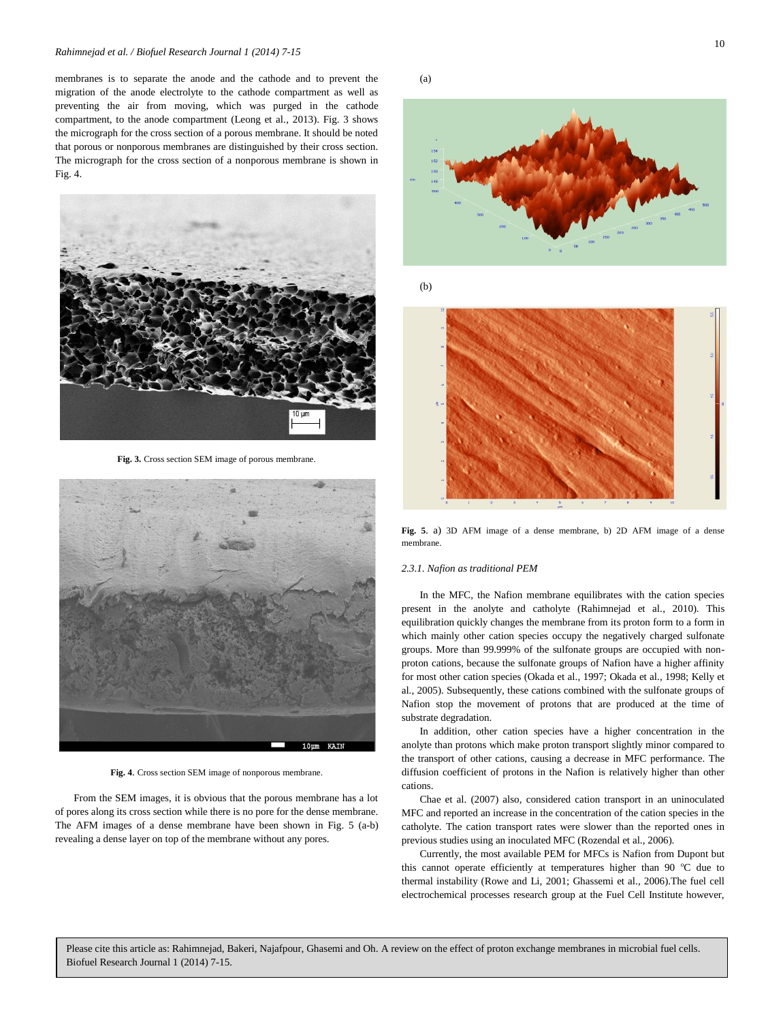membranes is to separate the anode and the cathode and to prevent the migration of the anode electrolyte to the cathode compartment as well as preventing the air from moving, which was purged in the cathode compartment, to the anode compartment (Leong et al., 2013). Fig. 3 shows the micrograph for the cross section of a porous membrane. It should be noted that porous or nonporous membranes are distinguished by their cross section. The micrograph for the cross section of a nonporous membrane is shown in Fig. 4.



**Fig. 3.** Cross section SEM image of porous membrane.



**Fig. 4**. Cross section SEM image of nonporous membrane.

From the SEM images, it is obvious that the porous membrane has a lot of pores along its cross section while there is no pore for the dense membrane. The AFM images of a dense membrane have been shown in Fig. 5 (a-b) revealing a dense layer on top of the membrane without any pores.

(a)



(b)



**Fig. 5**. a) 3D AFM image of a dense membrane, b) 2D AFM image of a dense membrane.

#### *2.3.1. Nafion as traditional PEM*

In the MFC, the Nafion membrane equilibrates with the cation species present in the anolyte and catholyte (Rahimnejad et al., 2010). This equilibration quickly changes the membrane from its proton form to a form in which mainly other cation species occupy the negatively charged sulfonate groups. More than 99.999% of the sulfonate groups are occupied with nonproton cations, because the sulfonate groups of Nafion have a higher affinity for most other cation species (Okada et al., 1997; Okada et al., 1998; Kelly et al., 2005). Subsequently, these cations combined with the sulfonate groups of Nafion stop the movement of protons that are produced at the time of substrate degradation.

In addition, other cation species have a higher concentration in the anolyte than protons which make proton transport slightly minor compared to the transport of other cations, causing a decrease in MFC performance. The diffusion coefficient of protons in the Nafion is relatively higher than other cations.

Chae et al. (2007) also, considered cation transport in an uninoculated MFC and reported an increase in the concentration of the cation species in the catholyte. The cation transport rates were slower than the reported ones in previous studies using an inoculated MFC (Rozendal et al., 2006).

Currently, the most available PEM for MFCs is Nafion from Dupont but this cannot operate efficiently at temperatures higher than 90  $^{\circ}$ C due to thermal instability (Rowe and Li, 2001; Ghassemi et al., 2006).The fuel cell electrochemical processes research group at the Fuel Cell Institute however,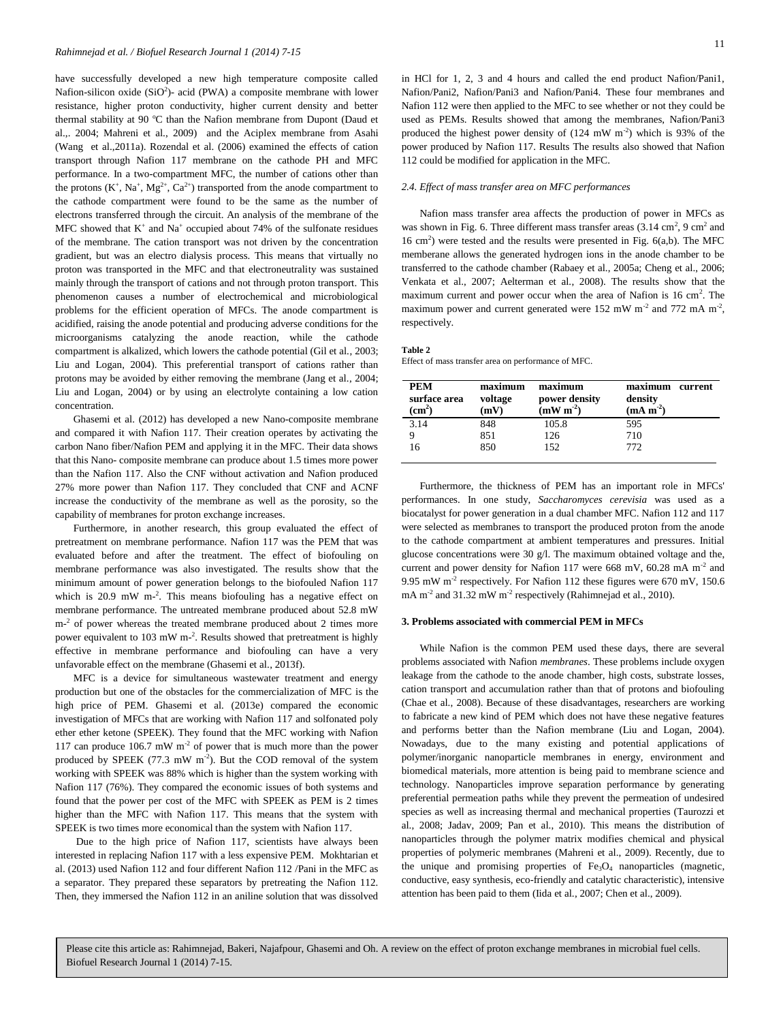have successfully developed a new high temperature composite called Nafion-silicon oxide  $(SiO<sup>2</sup>)$ - acid (PWA) a composite membrane with lower resistance, higher proton conductivity, higher current density and better thermal stability at 90  $^{\circ}$ C than the Nafion membrane from Dupont (Daud et al.,. 2004; Mahreni et al., 2009) and the Aciplex membrane from Asahi (Wang et al.,2011a). Rozendal et al. (2006) examined the effects of cation transport through Nafion 117 membrane on the cathode PH and MFC performance. In a two-compartment MFC, the number of cations other than the protons  $(K^+, Na^+, Mg^{2+}, Ca^{2+})$  transported from the anode compartment to the cathode compartment were found to be the same as the number of electrons transferred through the circuit. An analysis of the membrane of the MFC showed that  $K^+$  and  $Na^+$  occupied about 74% of the sulfonate residues of the membrane. The cation transport was not driven by the concentration gradient, but was an electro dialysis process. This means that virtually no proton was transported in the MFC and that electroneutrality was sustained mainly through the transport of cations and not through proton transport. This phenomenon causes a number of electrochemical and microbiological problems for the efficient operation of MFCs. The anode compartment is acidified, raising the anode potential and producing adverse conditions for the microorganisms catalyzing the anode reaction, while the cathode compartment is alkalized, which lowers the cathode potential (Gil et al., 2003; Liu and Logan, 2004). This preferential transport of cations rather than protons may be avoided by either removing the membrane (Jang et al., 2004; Liu and Logan, 2004) or by using an electrolyte containing a low cation concentration.

Ghasemi et al. (2012) has developed a new Nano-composite membrane and compared it with Nafion 117. Their creation operates by activating the carbon Nano fiber/Nafion PEM and applying it in the MFC. Their data shows that this Nano- composite membrane can produce about 1.5 times more power than the Nafion 117. Also the CNF without activation and Nafion produced 27% more power than Nafion 117. They concluded that CNF and ACNF increase the conductivity of the membrane as well as the porosity, so the capability of membranes for proton exchange increases.

Furthermore, in another research, this group evaluated the effect of pretreatment on membrane performance. Nafion 117 was the PEM that was evaluated before and after the treatment. The effect of biofouling on membrane performance was also investigated. The results show that the minimum amount of power generation belongs to the biofouled Nafion 117 which is 20.9 mW m<sup>-2</sup>. This means biofouling has a negative effect on membrane performance. The untreated membrane produced about 52.8 mW m<sup>-2</sup> of power whereas the treated membrane produced about 2 times more power equivalent to 103 mW m<sup>-2</sup>. Results showed that pretreatment is highly effective in membrane performance and biofouling can have a very unfavorable effect on the membrane (Ghasemi et al., 2013f).

MFC is a device for simultaneous wastewater treatment and energy production but one of the obstacles for the commercialization of MFC is the high price of PEM. Ghasemi et al. (2013e) compared the economic investigation of MFCs that are working with Nafion 117 and solfonated poly ether ether ketone (SPEEK). They found that the MFC working with Nafion 117 can produce  $106.7$  mW m<sup>-2</sup> of power that is much more than the power produced by SPEEK  $(77.3 \text{ mW m}^{-2})$ . But the COD removal of the system working with SPEEK was 88% which is higher than the system working with Nafion 117 (76%). They compared the economic issues of both systems and found that the power per cost of the MFC with SPEEK as PEM is 2 times higher than the MFC with Nafion 117. This means that the system with SPEEK is two times more economical than the system with Nafion 117.

Due to the high price of Nafion 117, scientists have always been interested in replacing Nafion 117 with a less expensive PEM. Mokhtarian et al. (2013) used Nafion 112 and four different Nafion 112 /Pani in the MFC as a separator. They prepared these separators by pretreating the Nafion 112. Then, they immersed the Nafion 112 in an aniline solution that was dissolved in HCl for 1, 2, 3 and 4 hours and called the end product Nafion/Pani1, Nafion/Pani2, Nafion/Pani3 and Nafion/Pani4. These four membranes and Nafion 112 were then applied to the MFC to see whether or not they could be used as PEMs. Results showed that among the membranes, Nafion/Pani3 produced the highest power density of  $(124 \text{ mW m}^2)$  which is 93% of the power produced by Nafion 117. Results The results also showed that Nafion 112 could be modified for application in the MFC.

#### *2.4. Effect of mass transfer area on MFC performances*

Nafion mass transfer area affects the production of power in MFCs as was shown in Fig. 6. Three different mass transfer areas  $(3.14 \text{ cm}^2, 9 \text{ cm}^2 \text{ and}$ 16 cm<sup>2</sup>) were tested and the results were presented in Fig.  $6(a,b)$ . The MFC memberane allows the generated hydrogen ions in the anode chamber to be transferred to the cathode chamber (Rabaey et al., 2005a; Cheng et al., 2006; Venkata et al., 2007; Aelterman et al., 2008). The results show that the maximum current and power occur when the area of Nafion is  $16 \text{ cm}^2$ . The maximum power and current generated were 152 mW  $m<sup>-2</sup>$  and 772 mA  $m<sup>-2</sup>$ , respectively.

#### **Table 2**

Effect of mass transfer area on performance of MFC.

| <b>PEM</b><br>surface area<br>$\rm \, (cm^2)$ | maximum<br>voltage<br>(mV) | maximum<br>power density<br>$\mathrm{(mW~m}^2)$ | maximum<br>current<br>density<br>$(mA m-2)$ |
|-----------------------------------------------|----------------------------|-------------------------------------------------|---------------------------------------------|
| 3.14                                          | 848                        | 105.8                                           | 595                                         |
|                                               | 851                        | 126                                             | 710                                         |
| 16                                            | 850                        | 152                                             | 772                                         |

Furthermore, the thickness of PEM has an important role in MFCs' performances. In one study, *Saccharomyces cerevisia* was used as a biocatalyst for power generation in a dual chamber MFC. Nafion 112 and 117 were selected as membranes to transport the produced proton from the anode to the cathode compartment at ambient temperatures and pressures. Initial glucose concentrations were 30 g/l. The maximum obtained voltage and the, current and power density for Nafion 117 were 668 mV, 60.28 mA  $m<sup>2</sup>$  and 9.95 mW m<sup>-2</sup> respectively. For Nafion 112 these figures were 670 mV, 150.6 mA m<sup>-2</sup> and 31.32 mW m<sup>-2</sup> respectively (Rahimnejad et al., 2010).

#### **3. Problems associated with commercial PEM in MFCs**

While Nafion is the common PEM used these days, there are several problems associated with Nafion *membranes*. These problems include oxygen leakage from the cathode to the anode chamber, high costs, substrate losses, cation transport and accumulation rather than that of protons and biofouling (Chae et al., 2008). Because of these disadvantages, researchers are working to fabricate a new kind of PEM which does not have these negative features and performs better than the Nafion membrane (Liu and Logan, 2004). Nowadays, due to the many existing and potential applications of polymer/inorganic nanoparticle membranes in energy, environment and biomedical materials, more attention is being paid to membrane science and technology. Nanoparticles improve separation performance by generating preferential permeation paths while they prevent the permeation of undesired species as well as increasing thermal and mechanical properties (Taurozzi et al., 2008; Jadav, 2009; Pan et al., 2010). This means the distribution of nanoparticles through the polymer matrix modifies chemical and physical properties of polymeric membranes (Mahreni et al., 2009). Recently, due to the unique and promising properties of  $Fe<sub>3</sub>O<sub>4</sub>$  nanoparticles (magnetic, conductive, easy synthesis, eco-friendly and catalytic characteristic), intensive attention has been paid to them (Iida et al., 2007; Chen et al., 2009).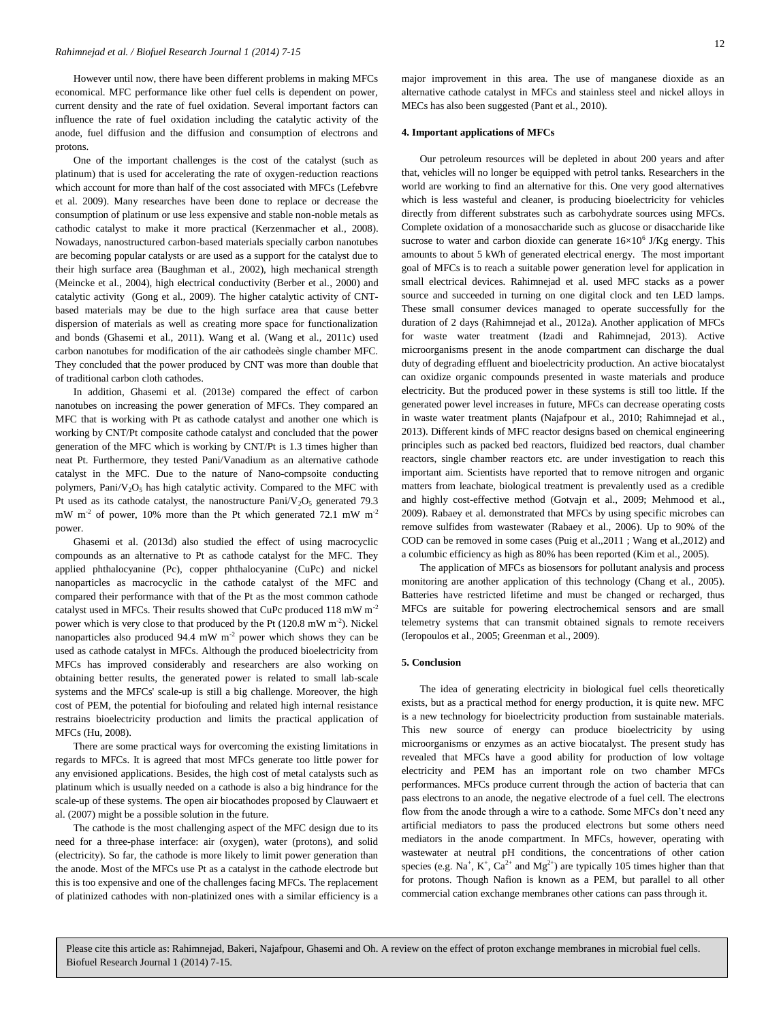However until now, there have been different problems in making MFCs economical. MFC performance like other fuel cells is dependent on power, current density and the rate of fuel oxidation. Several important factors can influence the rate of fuel oxidation including the catalytic activity of the anode, fuel diffusion and the diffusion and consumption of electrons and protons.

One of the important challenges is the cost of the catalyst (such as platinum) that is used for accelerating the rate of oxygen-reduction reactions which account for more than half of the cost associated with MFCs (Lefebvre et al. 2009). Many researches have been done to replace or decrease the consumption of platinum or use less expensive and stable non-noble metals as cathodic catalyst to make it more practical (Kerzenmacher et al., 2008). Nowadays, nanostructured carbon-based materials specially carbon nanotubes are becoming popular catalysts or are used as a support for the catalyst due to their high surface area (Baughman et al., 2002), high mechanical strength (Meincke et al., 2004), high electrical conductivity (Berber et al., 2000) and catalytic activity (Gong et al., 2009). The higher catalytic activity of CNTbased materials may be due to the high surface area that cause better dispersion of materials as well as creating more space for functionalization and bonds (Ghasemi et al., 2011). Wang et al. (Wang et al., 2011c) used carbon nanotubes for modification of the air cathodeès single chamber MFC. They concluded that the power produced by CNT was more than double that of traditional carbon cloth cathodes.

In addition, Ghasemi et al. (2013e) compared the effect of carbon nanotubes on increasing the power generation of MFCs. They compared an MFC that is working with Pt as cathode catalyst and another one which is working by CNT/Pt composite cathode catalyst and concluded that the power generation of the MFC which is working by CNT/Pt is 1.3 times higher than neat Pt. Furthermore, they tested Pani/Vanadium as an alternative cathode catalyst in the MFC. Due to the nature of Nano-compsoite conducting polymers, Pani/V<sub>2</sub>O<sub>5</sub> has high catalytic activity. Compared to the MFC with Pt used as its cathode catalyst, the nanostructure  $Pani/V_2O_5$  generated 79.3 mW m<sup>-2</sup> of power, 10% more than the Pt which generated 72.1 mW m<sup>-2</sup> power.

Ghasemi et al. (2013d) also studied the effect of using macrocyclic compounds as an alternative to Pt as cathode catalyst for the MFC. They applied phthalocyanine (Pc), copper phthalocyanine (CuPc) and nickel nanoparticles as macrocyclic in the cathode catalyst of the MFC and compared their performance with that of the Pt as the most common cathode catalyst used in MFCs. Their results showed that CuPc produced 118 mW m-2 power which is very close to that produced by the Pt  $(120.8 \text{ mW m}^{-2})$ . Nickel nanoparticles also produced 94.4 mW  $m^{-2}$  power which shows they can be used as cathode catalyst in MFCs. Although the produced bioelectricity from MFCs has improved considerably and researchers are also working on obtaining better results, the generated power is related to small lab-scale systems and the MFCs' scale-up is still a big challenge. Moreover, the high cost of PEM, the potential for biofouling and related high internal resistance restrains bioelectricity production and limits the practical application of MFCs (Hu, 2008).

There are some practical ways for overcoming the existing limitations in regards to MFCs. It is agreed that most MFCs generate too little power for any envisioned applications. Besides, the high cost of metal catalysts such as platinum which is usually needed on a cathode is also a big hindrance for the scale-up of these systems. The open air biocathodes proposed by Clauwaert et al. (2007) might be a possible solution in the future.

The cathode is the most challenging aspect of the MFC design due to its need for a three-phase interface: air (oxygen), water (protons), and solid (electricity). So far, the cathode is more likely to limit power generation than the anode. Most of the MFCs use Pt as a catalyst in the cathode electrode but this is too expensive and one of the challenges facing MFCs. The replacement of platinized cathodes with non-platinized ones with a similar efficiency is a major improvement in this area. The use of manganese dioxide as an alternative cathode catalyst in MFCs and stainless steel and nickel alloys in MECs has also been suggested (Pant et al., 2010).

#### **4. Important applications of MFCs**

Our petroleum resources will be depleted in about 200 years and after that, vehicles will no longer be equipped with petrol tanks. Researchers in the world are working to find an alternative for this. One very good alternatives which is less wasteful and cleaner, is producing bioelectricity for vehicles directly from different substrates such as carbohydrate sources using MFCs. Complete oxidation of a monosaccharide such as glucose or disaccharide like sucrose to water and carbon dioxide can generate  $16\times10^{6}$  J/Kg energy. This amounts to about 5 kWh of generated electrical energy. The most important goal of MFCs is to reach a suitable power generation level for application in small electrical devices. Rahimnejad et al. used MFC stacks as a power source and succeeded in turning on one digital clock and ten LED lamps. These small consumer devices managed to operate successfully for the duration of 2 days (Rahimnejad et al., 2012a). Another application of MFCs for waste water treatment (Izadi and Rahimnejad, 2013). Active microorganisms present in the anode compartment can discharge the dual duty of degrading effluent and bioelectricity production. An active biocatalyst can oxidize organic compounds presented in waste materials and produce electricity. But the produced power in these systems is still too little. If the generated power level increases in future, MFCs can decrease operating costs in waste water treatment plants (Najafpour et al., 2010; Rahimnejad et al., 2013). Different kinds of MFC reactor designs based on chemical engineering principles such as packed bed reactors, fluidized bed reactors, dual chamber reactors, single chamber reactors etc. are under investigation to reach this important aim. Scientists have reported that to remove nitrogen and organic matters from leachate, biological treatment is prevalently used as a credible and highly cost-effective method (Gotvajn et al., 2009; Mehmood et al., 2009). Rabaey et al. demonstrated that MFCs by using specific microbes can remove sulfides from wastewater (Rabaey et al., 2006). Up to 90% of the COD can be removed in some cases (Puig et al.,2011 ; Wang et al.,2012) and a columbic efficiency as high as 80% has been reported (Kim et al., 2005).

The application of MFCs as biosensors for pollutant analysis and process monitoring are another application of this technology (Chang et al., 2005). Batteries have restricted lifetime and must be changed or recharged, thus MFCs are suitable for powering electrochemical sensors and are small telemetry systems that can transmit obtained signals to remote receivers (Ieropoulos et al., 2005; Greenman et al., 2009).

#### **5. Conclusion**

The idea of generating electricity in biological fuel cells theoretically exists, but as a practical method for energy production, it is quite new. MFC is a new technology for bioelectricity production from sustainable materials. This new source of energy can produce bioelectricity by using microorganisms or enzymes as an active biocatalyst. The present study has revealed that MFCs have a good ability for production of low voltage electricity and PEM has an important role on two chamber MFCs performances. MFCs produce current through the action of bacteria that can pass electrons to an anode, the negative electrode of a fuel cell. The electrons flow from the anode through a wire to a cathode. Some MFCs don't need any artificial mediators to pass the produced electrons but some others need mediators in the anode compartment. In MFCs, however, operating with wastewater at neutral pH conditions, the concentrations of other cation species (e.g. Na<sup>+</sup>, K<sup>+</sup>, Ca<sup>2+</sup> and Mg<sup>2+</sup>) are typically 105 times higher than that for protons. Though Nafion is known as a PEM, but parallel to all other commercial cation exchange membranes other cations can pass through it.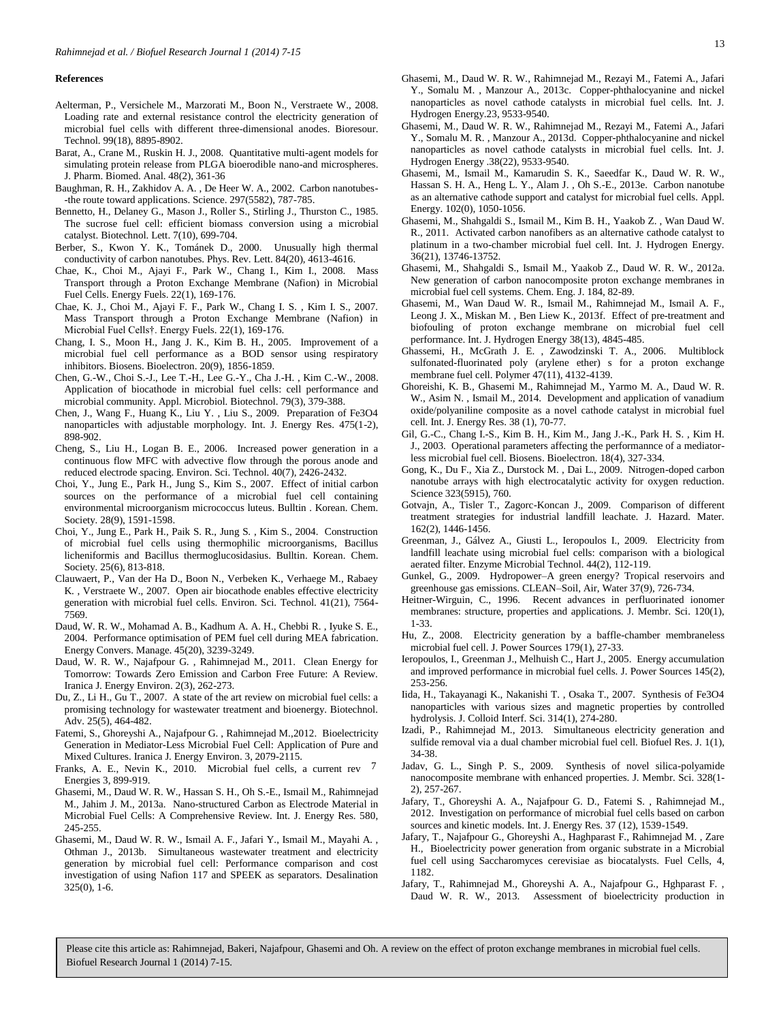### **References**

- Aelterman, P., Versichele M., Marzorati M., Boon N., Verstraete W., 2008. Loading rate and external resistance control the electricity generation of microbial fuel cells with different three-dimensional anodes. Bioresour. Technol. 99(18), 8895-8902.
- Barat, A., Crane M., Ruskin H. J., 2008. Quantitative multi-agent models for simulating protein release from PLGA bioerodible nano-and microspheres. J. Pharm. Biomed. Anal. 48(2), 361-36
- Baughman, R. H., Zakhidov A. A. , De Heer W. A., 2002. Carbon nanotubes- -the route toward applications. Science. 297(5582), 787-785.
- Bennetto, H., Delaney G., Mason J., Roller S., Stirling J., Thurston C., 1985. The sucrose fuel cell: efficient biomass conversion using a microbial catalyst. Biotechnol. Lett. 7(10), 699-704.
- Berber, S., Kwon Y. K., Tománek D., 2000. Unusually high thermal conductivity of carbon nanotubes. Phys. Rev. Lett. 84(20), 4613-4616.
- Chae, K., Choi M., Ajayi F., Park W., Chang I., Kim I., 2008. Mass Transport through a Proton Exchange Membrane (Nafion) in Microbial Fuel Cells. Energy Fuels. 22(1), 169-176.
- Chae, K. J., Choi M., Ajayi F. F., Park W., Chang I. S. , Kim I. S., 2007. Mass Transport through a Proton Exchange Membrane (Nafion) in Microbial Fuel Cells†. Energy Fuels. 22(1), 169-176.
- Chang, I. S., Moon H., Jang J. K., Kim B. H., 2005. Improvement of a microbial fuel cell performance as a BOD sensor using respiratory inhibitors. Biosens. Bioelectron. 20(9), 1856-1859.
- Chen, G.-W., Choi S.-J., Lee T.-H., Lee G.-Y., Cha J.-H. , Kim C.-W., 2008. Application of biocathode in microbial fuel cells: cell performance and microbial community. Appl. Microbiol. Biotechnol. 79(3), 379-388.
- Chen, J., Wang F., Huang K., Liu Y. , Liu S., 2009. Preparation of Fe3O4 nanoparticles with adjustable morphology. Int. J. Energy Res. 475(1-2), 898-902.
- Cheng, S., Liu H., Logan B. E., 2006. Increased power generation in a continuous flow MFC with advective flow through the porous anode and reduced electrode spacing. Environ. Sci. Technol. 40(7), 2426-2432.
- Choi, Y., Jung E., Park H., Jung S., Kim S., 2007. Effect of initial carbon sources on the performance of a microbial fuel cell containing environmental microorganism micrococcus luteus. Bulltin . Korean. Chem. Society. 28(9), 1591-1598.
- Choi, Y., Jung E., Park H., Paik S. R., Jung S. , Kim S., 2004. Construction of microbial fuel cells using thermophilic microorganisms, Bacillus licheniformis and Bacillus thermoglucosidasius. Bulltin. Korean. Chem. Society. 25(6), 813-818.
- Clauwaert, P., Van der Ha D., Boon N., Verbeken K., Verhaege M., Rabaey K. , Verstraete W., 2007. Open air biocathode enables effective electricity generation with microbial fuel cells. Environ. Sci. Technol. 41(21), 7564- 7569.
- Daud, W. R. W., Mohamad A. B., Kadhum A. A. H., Chebbi R. , Iyuke S. E., 2004. Performance optimisation of PEM fuel cell during MEA fabrication. Energy Convers. Manage. 45(20), 3239-3249.
- Daud, W. R. W., Najafpour G. , Rahimnejad M., 2011. Clean Energy for Tomorrow: Towards Zero Emission and Carbon Free Future: A Review. Iranica J. Energy Environ. 2(3), 262-273.
- Du, Z., Li H., Gu T., 2007. A state of the art review on microbial fuel cells: a promising technology for wastewater treatment and bioenergy. Biotechnol. Adv. 25(5), 464-482.
- Fatemi, S., Ghoreyshi A., Najafpour G. , Rahimnejad M.,2012. Bioelectricity Generation in Mediator-Less Microbial Fuel Cell: Application of Pure and Mixed Cultures. Iranica J. Energy Environ. 3, 2079-2115.
- Franks, A. E., Nevin K., 2010. Microbial fuel cells, a current rev.  $7$ Energies 3, 899-919.
- Ghasemi, M., Daud W. R. W., Hassan S. H., Oh S.-E., Ismail M., Rahimnejad M., Jahim J. M., 2013a. Nano-structured Carbon as Electrode Material in Microbial Fuel Cells: A Comprehensive Review. Int. J. Energy Res. 580, 245-255.
- Ghasemi, M., Daud W. R. W., Ismail A. F., Jafari Y., Ismail M., Mayahi A. , Othman J., 2013b. Simultaneous wastewater treatment and electricity generation by microbial fuel cell: Performance comparison and cost investigation of using Nafion 117 and SPEEK as separators. Desalination 325(0), 1-6.
- Ghasemi, M., Daud W. R. W., Rahimnejad M., Rezayi M., Fatemi A., Jafari Y., Somalu M. , Manzour A., 2013c. Copper-phthalocyanine and nickel nanoparticles as novel cathode catalysts in microbial fuel cells. Int. J. Hydrogen Energy.23, 9533-9540.
- Ghasemi, M., Daud W. R. W., Rahimnejad M., Rezayi M., Fatemi A., Jafari Y., Somalu M. R. , Manzour A., 2013d. Copper-phthalocyanine and nickel nanoparticles as novel cathode catalysts in microbial fuel cells. Int. J. Hydrogen Energy .38(22), 9533-9540.
- Ghasemi, M., Ismail M., Kamarudin S. K., Saeedfar K., Daud W. R. W., Hassan S. H. A., Heng L. Y., Alam J. , Oh S.-E., 2013e. Carbon nanotube as an alternative cathode support and catalyst for microbial fuel cells. Appl. Energy. 102(0), 1050-1056.
- Ghasemi, M., Shahgaldi S., Ismail M., Kim B. H., Yaakob Z. , Wan Daud W. R., 2011. Activated carbon nanofibers as an alternative cathode catalyst to platinum in a two-chamber microbial fuel cell. Int. J. Hydrogen Energy. 36(21), 13746-13752.
- Ghasemi, M., Shahgaldi S., Ismail M., Yaakob Z., Daud W. R. W., 2012a. New generation of carbon nanocomposite proton exchange membranes in microbial fuel cell systems. Chem. Eng. J. 184, 82-89.
- Ghasemi, M., Wan Daud W. R., Ismail M., Rahimnejad M., Ismail A. F., Leong J. X., Miskan M. , Ben Liew K., 2013f. Effect of pre-treatment and biofouling of proton exchange membrane on microbial fuel cell performance. Int. J. Hydrogen Energy 38(13), 4845-485.
- Ghassemi, H., McGrath J. E. , Zawodzinski T. A., 2006. Multiblock sulfonated-fluorinated poly (arylene ether) s for a proton exchange membrane fuel cell. Polymer 47(11), 4132-4139.
- Ghoreishi, K. B., Ghasemi M., Rahimnejad M., Yarmo M. A., Daud W. R. W., Asim N. , Ismail M., 2014. Development and application of vanadium oxide/polyaniline composite as a novel cathode catalyst in microbial fuel cell. Int. J. Energy Res. 38 (1), 70-77.
- Gil, G.-C., Chang I.-S., Kim B. H., Kim M., Jang J.-K., Park H. S. , Kim H. J., 2003. Operational parameters affecting the performannce of a mediatorless microbial fuel cell. Biosens. Bioelectron. 18(4), 327-334.
- Gong, K., Du F., Xia Z., Durstock M. , Dai L., 2009. Nitrogen-doped carbon nanotube arrays with high electrocatalytic activity for oxygen reduction. Science 323(5915), 760.
- Gotvajn, A., Tisler T., Zagorc-Koncan J., 2009. Comparison of different treatment strategies for industrial landfill leachate. J. Hazard. Mater. 162(2), 1446-1456.
- Greenman, J., Gálvez A., Giusti L., Ieropoulos I., 2009. Electricity from landfill leachate using microbial fuel cells: comparison with a biological aerated filter. Enzyme Microbial Technol. 44(2), 112-119.
- Gunkel, G., 2009. Hydropower–A green energy? Tropical reservoirs and greenhouse gas emissions. CLEAN–Soil, Air, Water 37(9), 726-734.
- Heitner-Wirguin, C., 1996. Recent advances in perfluorinated ionomer membranes: structure, properties and applications. J. Membr. Sci. 120(1), 1-33.
- Hu, Z., 2008. Electricity generation by a baffle-chamber membraneless microbial fuel cell. J. Power Sources 179(1), 27-33.
- Ieropoulos, I., Greenman J., Melhuish C., Hart J., 2005. Energy accumulation and improved performance in microbial fuel cells. J. Power Sources 145(2), 253-256.
- Iida, H., Takayanagi K., Nakanishi T. , Osaka T., 2007. Synthesis of Fe3O4 nanoparticles with various sizes and magnetic properties by controlled hydrolysis. J. Colloid Interf. Sci. 314(1), 274-280.
- Izadi, P., Rahimnejad M., 2013. Simultaneous electricity generation and sulfide removal via a dual chamber microbial fuel cell. Biofuel Res. J. 1(1), 34-38.
- Jadav, G. L., Singh P. S., 2009. Synthesis of novel silica-polyamide nanocomposite membrane with enhanced properties. J. Membr. Sci. 328(1- 2), 257-267.
- Jafary, T., Ghoreyshi A. A., Najafpour G. D., Fatemi S. , Rahimnejad M., 2012. Investigation on performance of microbial fuel cells based on carbon sources and kinetic models. Int. J. Energy Res. 37 (12), 1539-1549.
- Jafary, T., Najafpour G., Ghoreyshi A., Haghparast F., Rahimnejad M. , Zare H., Bioelectricity power generation from organic substrate in a Microbial fuel cell using Saccharomyces cerevisiae as biocatalysts. Fuel Cells, 4, 1182.
- Jafary, T., Rahimnejad M., Ghoreyshi A. A., Najafpour G., Hghparast F. , Daud W. R. W., 2013. Assessment of bioelectricity production in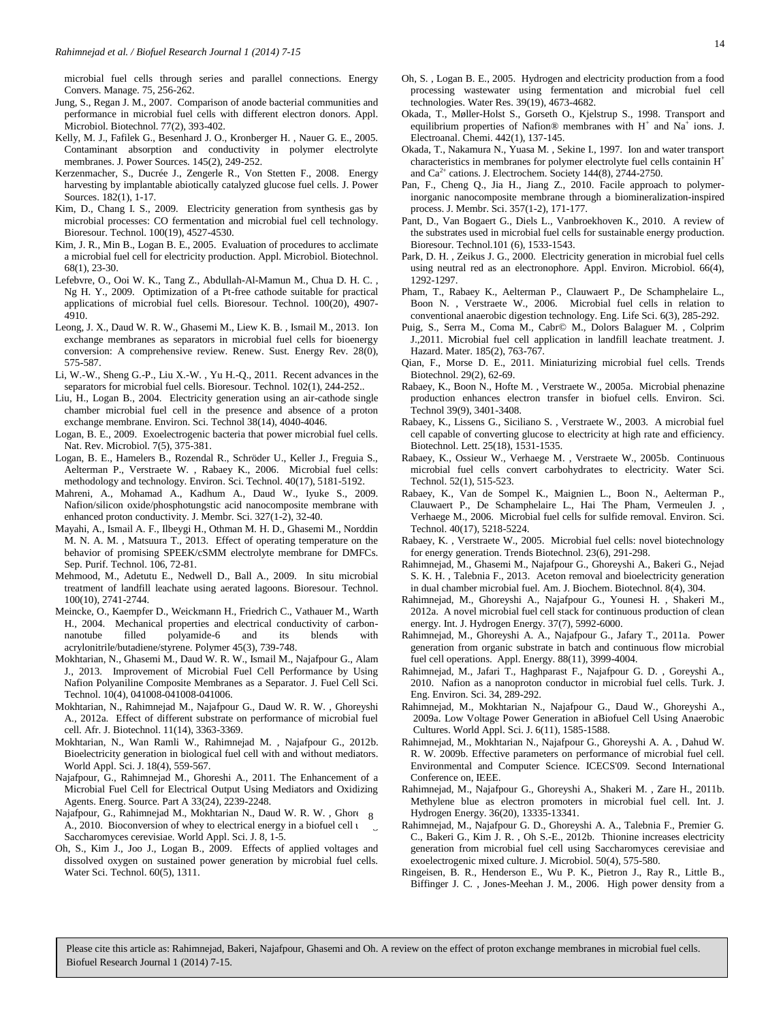microbial fuel cells through series and parallel connections. Energy Convers. Manage. 75, 256-262.

- Jung, S., Regan J. M., 2007. Comparison of anode bacterial communities and performance in microbial fuel cells with different electron donors. Appl. Microbiol. Biotechnol. 77(2), 393-402.
- Kelly, M. J., Fafilek G., Besenhard J. O., Kronberger H. , Nauer G. E., 2005. Contaminant absorption and conductivity in polymer electrolyte membranes. J. Power Sources. 145(2), 249-252.
- Kerzenmacher, S., Ducrée J., Zengerle R., Von Stetten F., 2008. Energy harvesting by implantable abiotically catalyzed glucose fuel cells. J. Power Sources. 182(1), 1-17.
- Kim, D., Chang I. S., 2009. Electricity generation from synthesis gas by microbial processes: CO fermentation and microbial fuel cell technology. Bioresour. Technol. 100(19), 4527-4530.
- Kim, J. R., Min B., Logan B. E., 2005. Evaluation of procedures to acclimate a microbial fuel cell for electricity production. Appl. Microbiol. Biotechnol. 68(1), 23-30.
- Lefebvre, O., Ooi W. K., Tang Z., Abdullah-Al-Mamun M., Chua D. H. C. , Ng H. Y., 2009. Optimization of a Pt-free cathode suitable for practical applications of microbial fuel cells. Bioresour. Technol. 100(20), 4907- 4910.
- Leong, J. X., Daud W. R. W., Ghasemi M., Liew K. B. , Ismail M., 2013. Ion exchange membranes as separators in microbial fuel cells for bioenergy conversion: A comprehensive review. Renew. Sust. Energy Rev. 28(0), 575-587.
- Li, W.-W., Sheng G.-P., Liu X.-W. , Yu H.-Q., 2011. Recent advances in the separators for microbial fuel cells. Bioresour. Technol. 102(1), 244-252..
- Liu, H., Logan B., 2004. Electricity generation using an air-cathode single chamber microbial fuel cell in the presence and absence of a proton exchange membrane. Environ. Sci. Technol 38(14), 4040-4046.
- Logan, B. E., 2009. Exoelectrogenic bacteria that power microbial fuel cells. Nat. Rev. Microbiol. 7(5), 375-381.
- Logan, B. E., Hamelers B., Rozendal R., Schröder U., Keller J., Freguia S., Aelterman P., Verstraete W. , Rabaey K., 2006. Microbial fuel cells: methodology and technology. Environ. Sci. Technol. 40(17), 5181-5192.
- Mahreni, A., Mohamad A., Kadhum A., Daud W., Iyuke S., 2009. Nafion/silicon oxide/phosphotungstic acid nanocomposite membrane with enhanced proton conductivity. J. Membr. Sci. 327(1-2), 32-40.
- Mayahi, A., Ismail A. F., Ilbeygi H., Othman M. H. D., Ghasemi M., Norddin M. N. A. M. , Matsuura T., 2013. Effect of operating temperature on the behavior of promising SPEEK/cSMM electrolyte membrane for DMFCs. Sep. Purif. Technol. 106, 72-81.
- Mehmood, M., Adetutu E., Nedwell D., Ball A., 2009. In situ microbial treatment of landfill leachate using aerated lagoons. Bioresour. Technol. 100(10), 2741-2744.
- Meincke, O., Kaempfer D., Weickmann H., Friedrich C., Vathauer M., Warth H., 2004. Mechanical properties and electrical conductivity of carbonnanotube filled polyamide-6 and its blends with acrylonitrile/butadiene/styrene. Polymer 45(3), 739-748.
- Mokhtarian, N., Ghasemi M., Daud W. R. W., Ismail M., Najafpour G., Alam J., 2013. Improvement of Microbial Fuel Cell Performance by Using Nafion Polyaniline Composite Membranes as a Separator. J. Fuel Cell Sci. Technol. 10(4), 041008-041008-041006.
- Mokhtarian, N., Rahimnejad M., Najafpour G., Daud W. R. W. , Ghoreyshi A., 2012a. Effect of different substrate on performance of microbial fuel cell. Afr. J. Biotechnol. 11(14), 3363-3369.
- Mokhtarian, N., Wan Ramli W., Rahimnejad M. , Najafpour G., 2012b. Bioelectricity generation in biological fuel cell with and without mediators. World Appl. Sci. J. 18(4), 559-567.
- Najafpour, G., Rahimnejad M., Ghoreshi A., 2011. The Enhancement of a Microbial Fuel Cell for Electrical Output Using Mediators and Oxidizing Agents. Energ. Source. Part A 33(24), 2239-2248.
- Najafpour, G., Rahimnejad M., Mokhtarian N., Daud W. R. W., Ghoreg A., 2010. Bioconversion of whey to electrical energy in a biofuel cell using Saccharomyces cerevisiae. World Appl. Sci. J. 8, 1-5.
- Oh, S., Kim J., Joo J., Logan B., 2009. Effects of applied voltages and dissolved oxygen on sustained power generation by microbial fuel cells. Water Sci. Technol. 60(5), 1311.
- Oh, S. , Logan B. E., 2005. Hydrogen and electricity production from a food processing wastewater using fermentation and microbial fuel cell technologies. Water Res. 39(19), 4673-4682.
- Okada, T., Møller-Holst S., Gorseth O., Kjelstrup S., 1998. Transport and equilibrium properties of Nafion® membranes with H<sup>+</sup> and Na<sup>+</sup> ions. J. Electroanal. Chemi. 442(1), 137-145.
- Okada, T., Nakamura N., Yuasa M. , Sekine I., 1997. Ion and water transport characteristics in membranes for polymer electrolyte fuel cells containin H<sup>+</sup> and  $Ca^{2+}$  cations. J. Electrochem. Society 144(8), 2744-2750.
- Pan, F., Cheng Q., Jia H., Jiang Z., 2010. Facile approach to polymerinorganic nanocomposite membrane through a biomineralization-inspired process. J. Membr. Sci. 357(1-2), 171-177.
- Pant, D., Van Bogaert G., Diels L., Vanbroekhoven K., 2010. A review of the substrates used in microbial fuel cells for sustainable energy production. Bioresour. Technol.101 (6), 1533-1543.
- Park, D. H. , Zeikus J. G., 2000. Electricity generation in microbial fuel cells using neutral red as an electronophore. Appl. Environ. Microbiol. 66(4), 1292-1297.
- Pham, T., Rabaey K., Aelterman P., Clauwaert P., De Schamphelaire L., Boon N. , Verstraete W., 2006. Microbial fuel cells in relation to conventional anaerobic digestion technology. Eng. Life Sci. 6(3), 285-292.
- Puig, S., Serra M., Coma M., Cabr© M., Dolors Balaguer M. , Colprim J.,2011. Microbial fuel cell application in landfill leachate treatment. J. Hazard. Mater. 185(2), 763-767.
- Qian, F., Morse D. E., 2011. Miniaturizing microbial fuel cells. Trends Biotechnol. 29(2), 62-69.
- Rabaey, K., Boon N., Hofte M. , Verstraete W., 2005a. Microbial phenazine production enhances electron transfer in biofuel cells. Environ. Sci. Technol 39(9), 3401-3408.
- Rabaey, K., Lissens G., Siciliano S. , Verstraete W., 2003. A microbial fuel cell capable of converting glucose to electricity at high rate and efficiency. Biotechnol. Lett. 25(18), 1531-1535.
- Rabaey, K., Ossieur W., Verhaege M. , Verstraete W., 2005b. Continuous microbial fuel cells convert carbohydrates to electricity. Water Sci. Technol. 52(1), 515-523.
- Rabaey, K., Van de Sompel K., Maignien L., Boon N., Aelterman P., Clauwaert P., De Schamphelaire L., Hai The Pham, Vermeulen J. , Verhaege M., 2006. Microbial fuel cells for sulfide removal. Environ. Sci. Technol. 40(17), 5218-5224.
- Rabaey, K. , Verstraete W., 2005. Microbial fuel cells: novel biotechnology for energy generation. Trends Biotechnol. 23(6), 291-298.
- Rahimnejad, M., Ghasemi M., Najafpour G., Ghoreyshi A., Bakeri G., Nejad S. K. H. , Talebnia F., 2013. Aceton removal and bioelectricity generation in dual chamber microbial fuel. Am. J. Biochem. Biotechnol. 8(4), 304.
- Rahimnejad, M., Ghoreyshi A., Najafpour G., Younesi H. , Shakeri M., 2012a. A novel microbial fuel cell stack for continuous production of clean energy. Int. J. Hydrogen Energy. 37(7), 5992-6000.
- Rahimnejad, M., Ghoreyshi A. A., Najafpour G., Jafary T., 2011a. Power generation from organic substrate in batch and continuous flow microbial fuel cell operations. Appl. Energy. 88(11), 3999-4004.
- Rahimnejad, M., Jafari T., Haghparast F., Najafpour G. D. , Goreyshi A., 2010. Nafion as a nanoproton conductor in microbial fuel cells. Turk. J. Eng. Environ. Sci. 34, 289-292.
- Rahimnejad, M., Mokhtarian N., Najafpour G., Daud W., Ghoreyshi A., 2009a. Low Voltage Power Generation in aBiofuel Cell Using Anaerobic Cultures. World Appl. Sci. J. 6(11), 1585-1588.
- Rahimnejad, M., Mokhtarian N., Najafpour G., Ghoreyshi A. A. , Dahud W. R. W. 2009b. Effective parameters on performance of microbial fuel cell. Environmental and Computer Science. ICECS'09. Second International Conference on, IEEE.
- Rahimnejad, M., Najafpour G., Ghoreyshi A., Shakeri M. , Zare H., 2011b. Methylene blue as electron promoters in microbial fuel cell. Int. J. Hydrogen Energy. 36(20), 13335-13341.
- Rahimnejad, M., Najafpour G. D., Ghoreyshi A. A., Talebnia F., Premier G. C., Bakeri G., Kim J. R. , Oh S.-E., 2012b. Thionine increases electricity generation from microbial fuel cell using Saccharomyces cerevisiae and exoelectrogenic mixed culture. J. Microbiol. 50(4), 575-580.
- Ringeisen, B. R., Henderson E., Wu P. K., Pietron J., Ray R., Little B., Biffinger J. C. , Jones-Meehan J. M., 2006. High power density from a